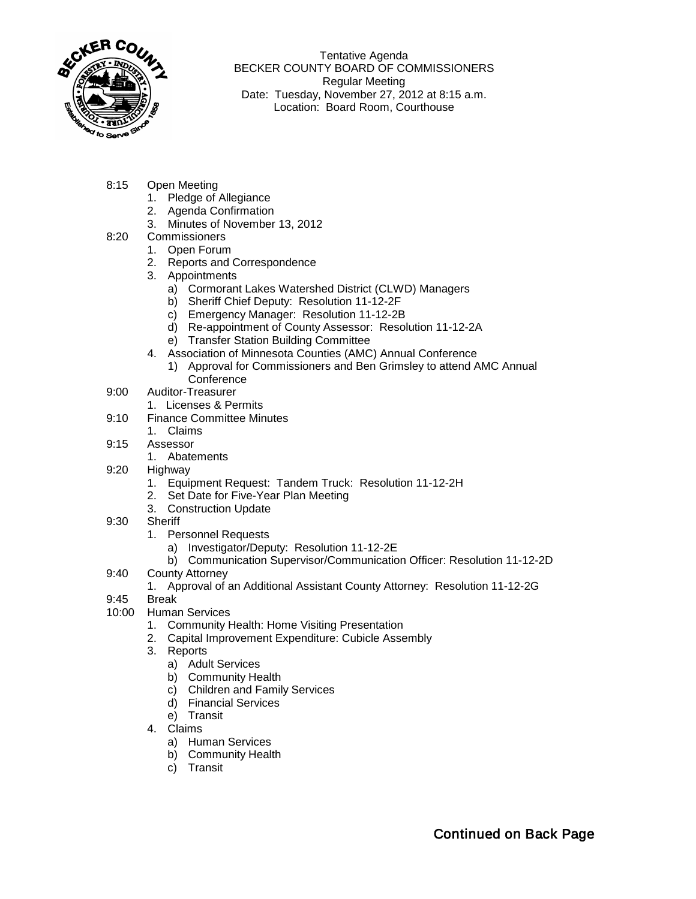

Tentative Agenda BECKER COUNTY BOARD OF COMMISSIONERS Regular Meeting Date: Tuesday, November 27, 2012 at 8:15 a.m. Location: Board Room, Courthouse

- 8:15 Open Meeting
	- 1. Pledge of Allegiance
	- 2. Agenda Confirmation
	- 3. Minutes of November 13, 2012
- 8:20 Commissioners
	- 1. Open Forum
	- 2. Reports and Correspondence
	- 3. Appointments
		- a) Cormorant Lakes Watershed District (CLWD) Managers
		- b) Sheriff Chief Deputy: Resolution 11-12-2F
		- c) Emergency Manager: Resolution 11-12-2B
		- d) Re-appointment of County Assessor: Resolution 11-12-2A
		- e) Transfer Station Building Committee
	- 4. Association of Minnesota Counties (AMC) Annual Conference
		- 1) Approval for Commissioners and Ben Grimsley to attend AMC Annual **Conference**
- 9:00 Auditor-Treasurer
	- 1. Licenses & Permits
- 9:10 Finance Committee Minutes
	- 1. Claims
- 9:15 Assessor
	- 1. Abatements
- 9:20 Highway
	- 1. Equipment Request: Tandem Truck: Resolution 11-12-2H
	- 2. Set Date for Five-Year Plan Meeting
	- 3. Construction Update
- 9:30 Sheriff
	- 1. Personnel Requests
		- a) Investigator/Deputy: Resolution 11-12-2E
		- b) Communication Supervisor/Communication Officer: Resolution 11-12-2D
- 9:40 County Attorney
	- 1. Approval of an Additional Assistant County Attorney: Resolution 11-12-2G
- 9:45 Break
- 10:00 Human Services
	- 1. Community Health: Home Visiting Presentation
	- 2. Capital Improvement Expenditure: Cubicle Assembly
	- 3. Reports
		- a) Adult Services
		- b) Community Health
		- c) Children and Family Services
		- d) Financial Services
		- e) Transit
	- 4. Claims
		- a) Human Services
		- b) Community Health
		- c) Transit